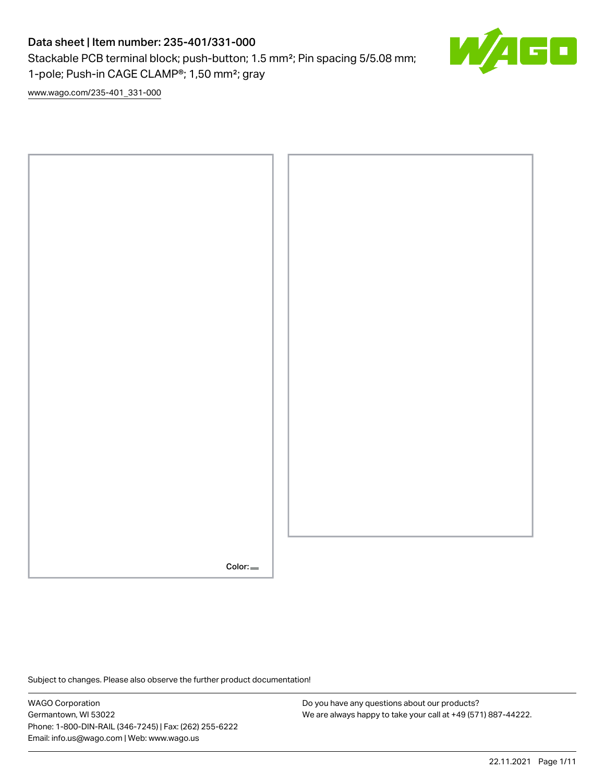## Data sheet | Item number: 235-401/331-000

Stackable PCB terminal block; push-button; 1.5 mm²; Pin spacing 5/5.08 mm; 1-pole; Push-in CAGE CLAMP®; 1,50 mm²; gray



[www.wago.com/235-401\\_331-000](http://www.wago.com/235-401_331-000)



Subject to changes. Please also observe the further product documentation!

WAGO Corporation Germantown, WI 53022 Phone: 1-800-DIN-RAIL (346-7245) | Fax: (262) 255-6222 Email: info.us@wago.com | Web: www.wago.us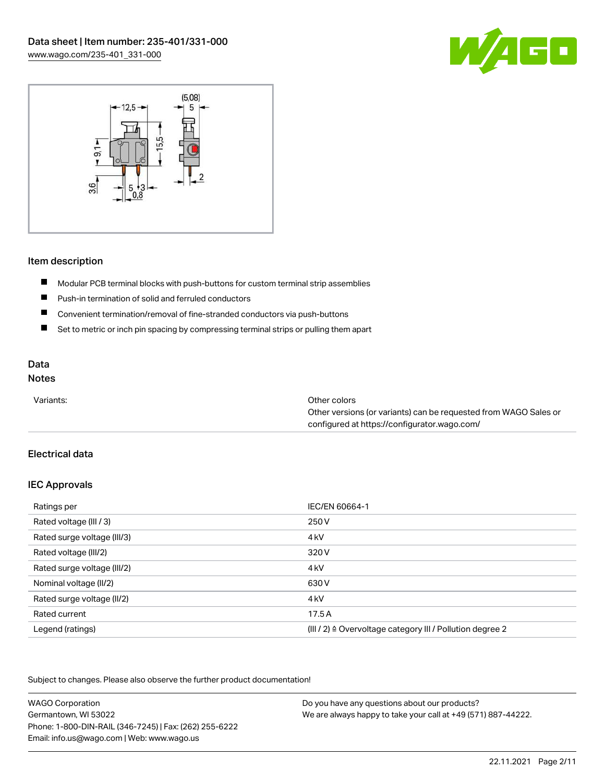



## Item description

- $\blacksquare$ Modular PCB terminal blocks with push-buttons for custom terminal strip assemblies
- $\blacksquare$ Push-in termination of solid and ferruled conductors
- $\blacksquare$ Convenient termination/removal of fine-stranded conductors via push-buttons
- $\blacksquare$ Set to metric or inch pin spacing by compressing terminal strips or pulling them apart

## Data

## Notes

| Variants: | Other colors                                                     |
|-----------|------------------------------------------------------------------|
|           | Other versions (or variants) can be requested from WAGO Sales or |
|           | configured at https://configurator.wago.com/                     |

## Electrical data

## IEC Approvals

| Ratings per                 | IEC/EN 60664-1                                                       |
|-----------------------------|----------------------------------------------------------------------|
| Rated voltage (III / 3)     | 250 V                                                                |
| Rated surge voltage (III/3) | 4 <sub>kV</sub>                                                      |
| Rated voltage (III/2)       | 320 V                                                                |
| Rated surge voltage (III/2) | 4 <sub>k</sub> V                                                     |
| Nominal voltage (II/2)      | 630 V                                                                |
| Rated surge voltage (II/2)  | 4 <sub>k</sub> V                                                     |
| Rated current               | 17.5A                                                                |
| Legend (ratings)            | (III / 2) $\triangleq$ Overvoltage category III / Pollution degree 2 |

Subject to changes. Please also observe the further product documentation!

| <b>WAGO Corporation</b>                                | Do you have any questions about our products?                 |
|--------------------------------------------------------|---------------------------------------------------------------|
| Germantown, WI 53022                                   | We are always happy to take your call at +49 (571) 887-44222. |
| Phone: 1-800-DIN-RAIL (346-7245)   Fax: (262) 255-6222 |                                                               |
| Email: info.us@wago.com   Web: www.wago.us             |                                                               |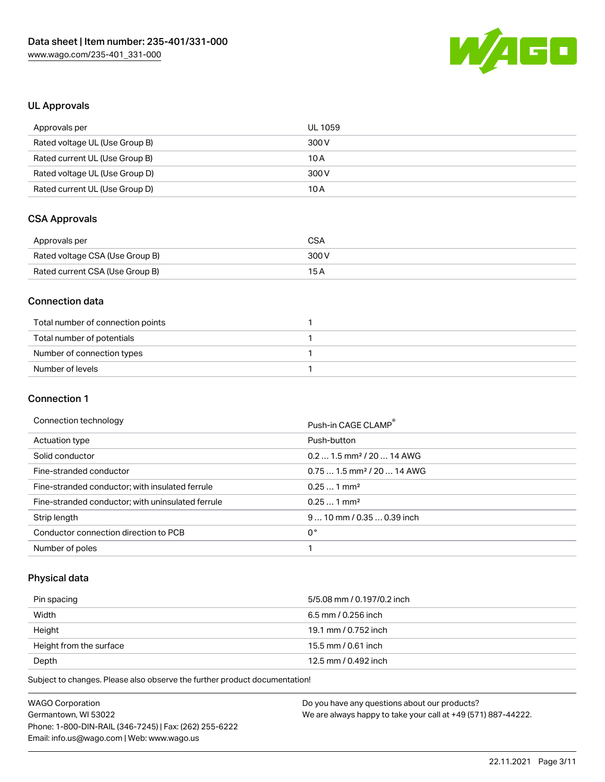

## UL Approvals

| Approvals per                  | UL 1059 |
|--------------------------------|---------|
| Rated voltage UL (Use Group B) | 300 V   |
| Rated current UL (Use Group B) | 10 A    |
| Rated voltage UL (Use Group D) | 300 V   |
| Rated current UL (Use Group D) | 10 A    |

## CSA Approvals

| Approvals per                   | CSA   |
|---------------------------------|-------|
| Rated voltage CSA (Use Group B) | 300 V |
| Rated current CSA (Use Group B) | 15 A  |

## Connection data

| Total number of connection points |  |
|-----------------------------------|--|
| Total number of potentials        |  |
| Number of connection types        |  |
| Number of levels                  |  |

## Connection 1

#### Connection technology example and the connection of the connection of the connection of the connection of the connection of the connection of the connection of the connection of the connection of the connection of the conn

|                                                   | FUSI FIIT UAUE ULAIVIF                 |
|---------------------------------------------------|----------------------------------------|
| Actuation type                                    | Push-button                            |
| Solid conductor                                   | $0.21.5$ mm <sup>2</sup> / 20  14 AWG  |
| Fine-stranded conductor                           | $0.751.5$ mm <sup>2</sup> / 20  14 AWG |
| Fine-stranded conductor; with insulated ferrule   | $0.251$ mm <sup>2</sup>                |
| Fine-stranded conductor; with uninsulated ferrule | $0.251$ mm <sup>2</sup>                |
| Strip length                                      | $910$ mm / 0.35  0.39 inch             |
| Conductor connection direction to PCB             | 0°                                     |
| Number of poles                                   |                                        |
|                                                   |                                        |

## Physical data

| Pin spacing             | 5/5.08 mm / 0.197/0.2 inch |
|-------------------------|----------------------------|
| Width                   | 6.5 mm / 0.256 inch        |
| Height                  | 19.1 mm / 0.752 inch       |
| Height from the surface | 15.5 mm / 0.61 inch        |
| Depth                   | 12.5 mm / 0.492 inch       |

Subject to changes. Please also observe the further product documentation!

| <b>WAGO Corporation</b>                                | Do you have any questions about our products?                 |
|--------------------------------------------------------|---------------------------------------------------------------|
| Germantown, WI 53022                                   | We are always happy to take your call at +49 (571) 887-44222. |
| Phone: 1-800-DIN-RAIL (346-7245)   Fax: (262) 255-6222 |                                                               |
| Email: info.us@wago.com   Web: www.wago.us             |                                                               |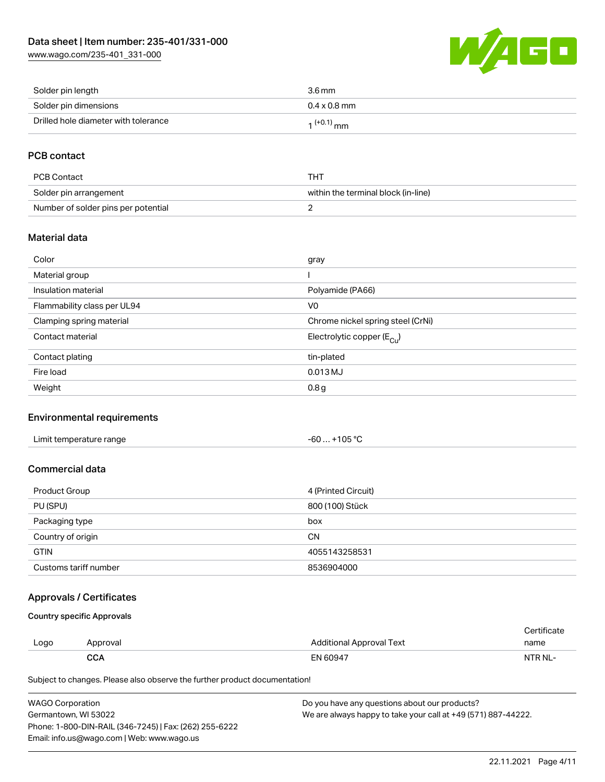[www.wago.com/235-401\\_331-000](http://www.wago.com/235-401_331-000)



| Solder pin length                    | 3.6 mm              |
|--------------------------------------|---------------------|
| Solder pin dimensions                | $0.4 \times 0.8$ mm |
| Drilled hole diameter with tolerance | $1^{(+0.1)}$ mm     |

## PCB contact

| PCB Contact                         | THT                                 |
|-------------------------------------|-------------------------------------|
| Solder pin arrangement              | within the terminal block (in-line) |
| Number of solder pins per potential |                                     |

## Material data

| Color                       | gray                                    |
|-----------------------------|-----------------------------------------|
| Material group              |                                         |
| Insulation material         | Polyamide (PA66)                        |
| Flammability class per UL94 | V <sub>0</sub>                          |
| Clamping spring material    | Chrome nickel spring steel (CrNi)       |
| Contact material            | Electrolytic copper ( $E_{\text{Cu}}$ ) |
| Contact plating             | tin-plated                              |
| Fire load                   | $0.013$ MJ                              |
| Weight                      | 0.8 <sub>g</sub>                        |

## Environmental requirements

| Limit temperature range | +105 °C<br>$-60$ |  |
|-------------------------|------------------|--|
|-------------------------|------------------|--|

## Commercial data

| Product Group         | 4 (Printed Circuit) |
|-----------------------|---------------------|
| PU (SPU)              | 800 (100) Stück     |
| Packaging type        | box                 |
| Country of origin     | <b>CN</b>           |
| <b>GTIN</b>           | 4055143258531       |
| Customs tariff number | 8536904000          |

## Approvals / Certificates

Country specific Approvals

| Logo | Approval   | Additional Approval Text | name    |
|------|------------|--------------------------|---------|
|      | <b>CCA</b> | EN 60947                 | NTR NL- |

Subject to changes. Please also observe the further product documentation!

| <b>WAGO Corporation</b>                                | Do you have any questions about our products?                 |
|--------------------------------------------------------|---------------------------------------------------------------|
| Germantown. WI 53022                                   | We are always happy to take your call at +49 (571) 887-44222. |
| Phone: 1-800-DIN-RAIL (346-7245)   Fax: (262) 255-6222 |                                                               |
| Email: info.us@wago.com   Web: www.wago.us             |                                                               |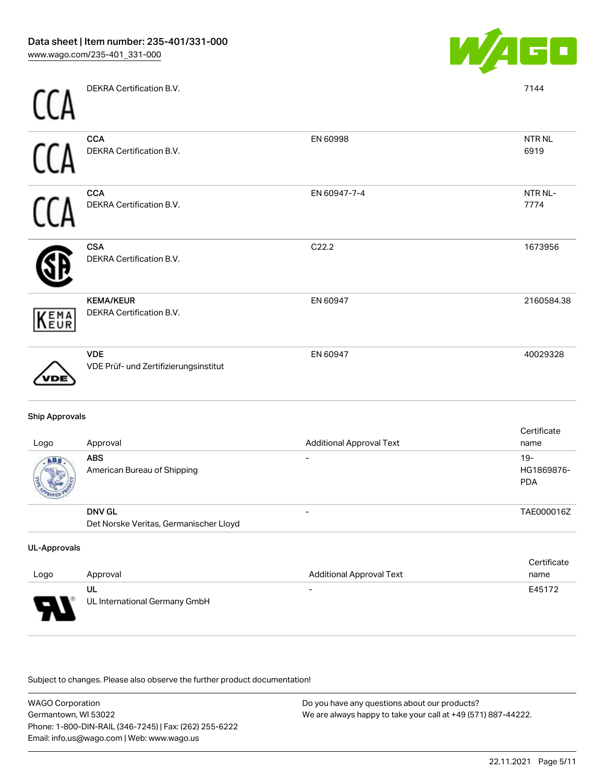

NTR NL 6919

NTR NL-7774

1673956

2160584.38

| DEKRA Certification B.V.                             |              | 7144         |
|------------------------------------------------------|--------------|--------------|
| <b>CCA</b><br>DEKRA Certification B.V.               | EN 60998     | NTR1<br>6919 |
| <b>CCA</b><br>DEKRA Certification B.V.               | EN 60947-7-4 | NTR1<br>7774 |
| <b>CSA</b><br>DEKRA Certification B.V.               | C22.2        | 1673         |
| <b>KEMA/KEUR</b><br>DEKRA Certification B.V.<br>KEMA | EN 60947     | 2160         |

VDE EN 60947 40029328 VDE Prüf- und Zertifizierungsinstitut VDE

## Ship Approvals

| Logo | Approval                                                | <b>Additional Approval Text</b> | Certificate<br>name               |
|------|---------------------------------------------------------|---------------------------------|-----------------------------------|
| ABS  | <b>ABS</b><br>American Bureau of Shipping               |                                 | $19-$<br>HG1869876-<br><b>PDA</b> |
|      | <b>DNV GL</b><br>Det Norske Veritas, Germanischer Lloyd |                                 | TAE000016Z                        |

#### UL-Approvals

| Logo | Approval                            | <b>Additional Approval Text</b> | Certificate<br>name |
|------|-------------------------------------|---------------------------------|---------------------|
| Б    | UL<br>UL International Germany GmbH | $\overline{\phantom{0}}$        | E45172              |

.<br>Subject to changes. Please also observe the further product documentation!

| <b>WAGO Corporation</b>                                | Do you have any questions about our products?                 |
|--------------------------------------------------------|---------------------------------------------------------------|
| Germantown, WI 53022                                   | We are always happy to take your call at +49 (571) 887-44222. |
| Phone: 1-800-DIN-RAIL (346-7245)   Fax: (262) 255-6222 |                                                               |
| Email: info.us@wago.com   Web: www.wago.us             |                                                               |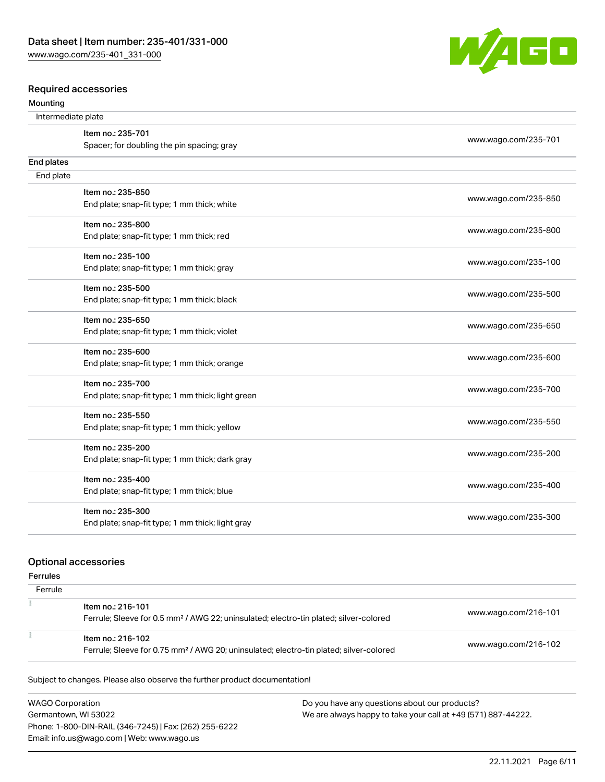

#### Mounting



| Intermediate plate |                                                   |                      |
|--------------------|---------------------------------------------------|----------------------|
|                    | Item no.: 235-701                                 | www.wago.com/235-701 |
|                    | Spacer; for doubling the pin spacing; gray        |                      |
| End plates         |                                                   |                      |
| End plate          |                                                   |                      |
|                    | Item no.: 235-850                                 |                      |
|                    | End plate; snap-fit type; 1 mm thick; white       | www.wago.com/235-850 |
|                    | Item no.: 235-800                                 |                      |
|                    | End plate; snap-fit type; 1 mm thick; red         | www.wago.com/235-800 |
|                    | Item no.: 235-100                                 |                      |
|                    | End plate; snap-fit type; 1 mm thick; gray        | www.wago.com/235-100 |
|                    | Item no.: 235-500                                 |                      |
|                    | End plate; snap-fit type; 1 mm thick; black       | www.wago.com/235-500 |
|                    | Item no.: 235-650                                 |                      |
|                    | End plate; snap-fit type; 1 mm thick; violet      | www.wago.com/235-650 |
|                    | Item no.: 235-600                                 |                      |
|                    | End plate; snap-fit type; 1 mm thick; orange      | www.wago.com/235-600 |
|                    | Item no.: 235-700                                 |                      |
|                    | End plate; snap-fit type; 1 mm thick; light green | www.wago.com/235-700 |
|                    | Item no.: 235-550                                 |                      |
|                    | End plate; snap-fit type; 1 mm thick; yellow      | www.wago.com/235-550 |
|                    | Item no.: 235-200                                 |                      |
|                    | End plate; snap-fit type; 1 mm thick; dark gray   | www.wago.com/235-200 |
|                    | Item no.: 235-400                                 |                      |
|                    | End plate; snap-fit type; 1 mm thick; blue        | www.wago.com/235-400 |
|                    | Item no.: 235-300                                 |                      |
|                    | End plate; snap-fit type; 1 mm thick; light gray  | www.wago.com/235-300 |

#### Optional accessories

Ferrules

| Ferrule |                                                                                                                         |                      |
|---------|-------------------------------------------------------------------------------------------------------------------------|----------------------|
|         | Item no.: 216-101<br>Ferrule; Sleeve for 0.5 mm <sup>2</sup> / AWG 22; uninsulated; electro-tin plated; silver-colored  | www.wago.com/216-101 |
|         | Item no.: 216-102<br>Ferrule; Sleeve for 0.75 mm <sup>2</sup> / AWG 20; uninsulated; electro-tin plated; silver-colored | www.wago.com/216-102 |

Subject to changes. Please also observe the further product documentation!

WAGO Corporation Germantown, WI 53022 Phone: 1-800-DIN-RAIL (346-7245) | Fax: (262) 255-6222 Email: info.us@wago.com | Web: www.wago.us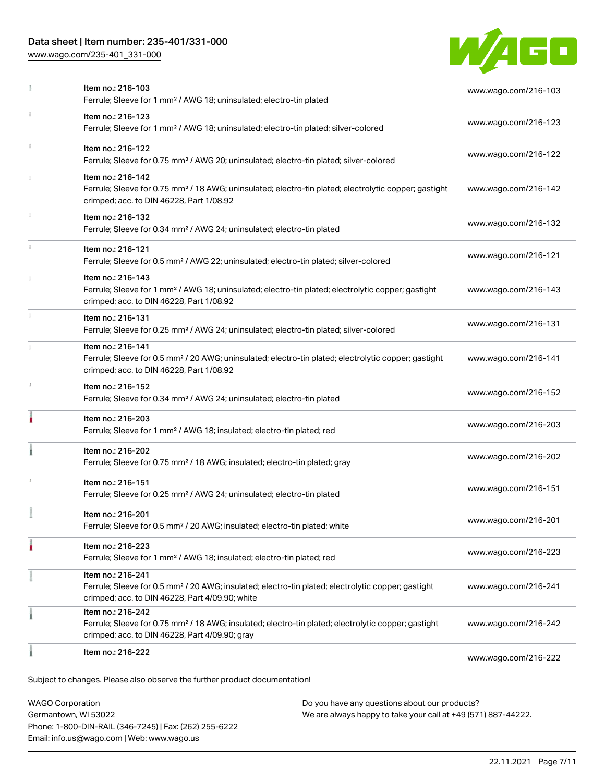## Data sheet | Item number: 235-401/331-000

[www.wago.com/235-401\\_331-000](http://www.wago.com/235-401_331-000)



|   | Item no.: 216-103<br>Ferrule; Sleeve for 1 mm <sup>2</sup> / AWG 18; uninsulated; electro-tin plated                                                                                   | www.wago.com/216-103 |
|---|----------------------------------------------------------------------------------------------------------------------------------------------------------------------------------------|----------------------|
|   | Item no.: 216-123<br>Ferrule; Sleeve for 1 mm <sup>2</sup> / AWG 18; uninsulated; electro-tin plated; silver-colored                                                                   | www.wago.com/216-123 |
|   | Item no.: 216-122<br>Ferrule; Sleeve for 0.75 mm <sup>2</sup> / AWG 20; uninsulated; electro-tin plated; silver-colored                                                                | www.wago.com/216-122 |
|   | Item no.: 216-142<br>Ferrule; Sleeve for 0.75 mm <sup>2</sup> / 18 AWG; uninsulated; electro-tin plated; electrolytic copper; gastight<br>crimped; acc. to DIN 46228, Part 1/08.92     | www.wago.com/216-142 |
|   | Item no.: 216-132<br>Ferrule; Sleeve for 0.34 mm <sup>2</sup> / AWG 24; uninsulated; electro-tin plated                                                                                | www.wago.com/216-132 |
|   | Item no.: 216-121<br>Ferrule; Sleeve for 0.5 mm <sup>2</sup> / AWG 22; uninsulated; electro-tin plated; silver-colored                                                                 | www.wago.com/216-121 |
|   | Item no.: 216-143<br>Ferrule; Sleeve for 1 mm <sup>2</sup> / AWG 18; uninsulated; electro-tin plated; electrolytic copper; gastight<br>crimped; acc. to DIN 46228, Part 1/08.92        | www.wago.com/216-143 |
|   | Item no.: 216-131<br>Ferrule; Sleeve for 0.25 mm <sup>2</sup> / AWG 24; uninsulated; electro-tin plated; silver-colored                                                                | www.wago.com/216-131 |
|   | Item no.: 216-141<br>Ferrule; Sleeve for 0.5 mm <sup>2</sup> / 20 AWG; uninsulated; electro-tin plated; electrolytic copper; gastight<br>crimped; acc. to DIN 46228, Part 1/08.92      | www.wago.com/216-141 |
|   | Item no.: 216-152<br>Ferrule; Sleeve for 0.34 mm <sup>2</sup> / AWG 24; uninsulated; electro-tin plated                                                                                | www.wago.com/216-152 |
| ۸ | Item no.: 216-203<br>Ferrule; Sleeve for 1 mm <sup>2</sup> / AWG 18; insulated; electro-tin plated; red                                                                                | www.wago.com/216-203 |
|   | Item no.: 216-202<br>Ferrule; Sleeve for 0.75 mm <sup>2</sup> / 18 AWG; insulated; electro-tin plated; gray                                                                            | www.wago.com/216-202 |
|   | Item no.: 216-151<br>Ferrule; Sleeve for 0.25 mm <sup>2</sup> / AWG 24; uninsulated; electro-tin plated                                                                                | www.wago.com/216-151 |
|   | Item no.: 216-201<br>Ferrule; Sleeve for 0.5 mm <sup>2</sup> / 20 AWG; insulated; electro-tin plated; white                                                                            | www.wago.com/216-201 |
|   | Item no.: 216-223<br>Ferrule; Sleeve for 1 mm <sup>2</sup> / AWG 18; insulated; electro-tin plated; red                                                                                | www.wago.com/216-223 |
|   | Item no.: 216-241<br>Ferrule; Sleeve for 0.5 mm <sup>2</sup> / 20 AWG; insulated; electro-tin plated; electrolytic copper; gastight<br>crimped; acc. to DIN 46228, Part 4/09.90; white | www.wago.com/216-241 |
|   | Item no.: 216-242<br>Ferrule; Sleeve for 0.75 mm <sup>2</sup> / 18 AWG; insulated; electro-tin plated; electrolytic copper; gastight<br>crimped; acc. to DIN 46228, Part 4/09.90; gray | www.wago.com/216-242 |
|   | Item no.: 216-222                                                                                                                                                                      | www.wago.com/216-222 |
|   | Subject to changes. Please also observe the further product documentation!                                                                                                             |                      |

WAGO Corporation Germantown, WI 53022 Phone: 1-800-DIN-RAIL (346-7245) | Fax: (262) 255-6222 Email: info.us@wago.com | Web: www.wago.us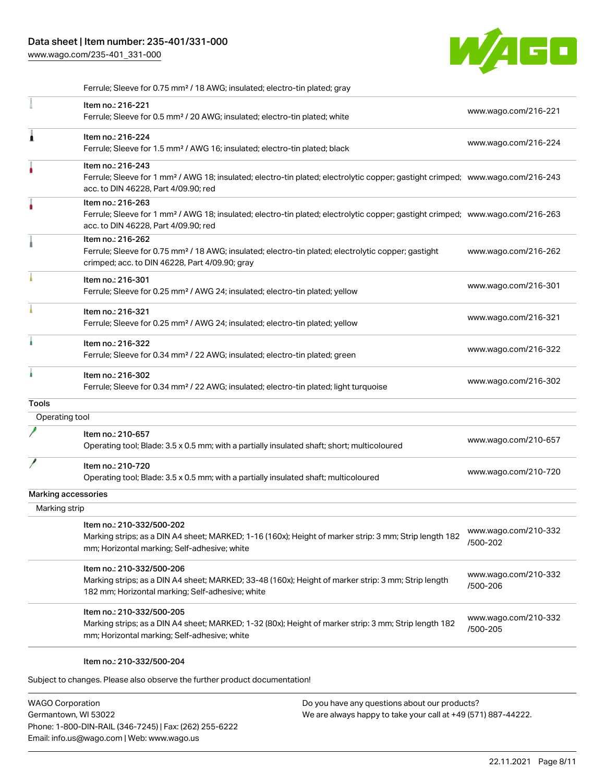[www.wago.com/235-401\\_331-000](http://www.wago.com/235-401_331-000)



|                     | Ferrule; Sleeve for 0.75 mm <sup>2</sup> / 18 AWG; insulated; electro-tin plated; gray                                                                                                                  |                                  |
|---------------------|---------------------------------------------------------------------------------------------------------------------------------------------------------------------------------------------------------|----------------------------------|
|                     | Item no.: 216-221<br>Ferrule; Sleeve for 0.5 mm <sup>2</sup> / 20 AWG; insulated; electro-tin plated; white                                                                                             | www.wago.com/216-221             |
| Ă                   | Item no.: 216-224<br>Ferrule; Sleeve for 1.5 mm <sup>2</sup> / AWG 16; insulated; electro-tin plated; black                                                                                             | www.wago.com/216-224             |
| ٠                   | Item no.: 216-243<br>Ferrule; Sleeve for 1 mm <sup>2</sup> / AWG 18; insulated; electro-tin plated; electrolytic copper; gastight crimped; www.wago.com/216-243<br>acc. to DIN 46228, Part 4/09.90; red |                                  |
| ۸                   | Item no.: 216-263<br>Ferrule; Sleeve for 1 mm <sup>2</sup> / AWG 18; insulated; electro-tin plated; electrolytic copper; gastight crimped; www.wago.com/216-263<br>acc. to DIN 46228, Part 4/09.90; red |                                  |
|                     | Item no.: 216-262<br>Ferrule; Sleeve for 0.75 mm <sup>2</sup> / 18 AWG; insulated; electro-tin plated; electrolytic copper; gastight<br>crimped; acc. to DIN 46228, Part 4/09.90; gray                  | www.wago.com/216-262             |
|                     | Item no.: 216-301<br>Ferrule; Sleeve for 0.25 mm <sup>2</sup> / AWG 24; insulated; electro-tin plated; yellow                                                                                           | www.wago.com/216-301             |
|                     | Item no.: 216-321<br>Ferrule; Sleeve for 0.25 mm <sup>2</sup> / AWG 24; insulated; electro-tin plated; yellow                                                                                           | www.wago.com/216-321             |
|                     | Item no.: 216-322<br>Ferrule; Sleeve for 0.34 mm <sup>2</sup> / 22 AWG; insulated; electro-tin plated; green                                                                                            | www.wago.com/216-322             |
| ٠                   | Item no.: 216-302<br>Ferrule; Sleeve for 0.34 mm <sup>2</sup> / 22 AWG; insulated; electro-tin plated; light turquoise                                                                                  | www.wago.com/216-302             |
| Tools               |                                                                                                                                                                                                         |                                  |
| Operating tool      |                                                                                                                                                                                                         |                                  |
|                     | Item no.: 210-657<br>Operating tool; Blade: 3.5 x 0.5 mm; with a partially insulated shaft; short; multicoloured                                                                                        | www.wago.com/210-657             |
|                     | Item no.: 210-720<br>Operating tool; Blade: 3.5 x 0.5 mm; with a partially insulated shaft; multicoloured                                                                                               | www.wago.com/210-720             |
| Marking accessories |                                                                                                                                                                                                         |                                  |
| Marking strip       |                                                                                                                                                                                                         |                                  |
|                     | Item no.: 210-332/500-202<br>Marking strips; as a DIN A4 sheet; MARKED; 1-16 (160x); Height of marker strip: 3 mm; Strip length 182<br>mm; Horizontal marking; Self-adhesive; white                     | www.wago.com/210-332<br>/500-202 |
|                     | Item no.: 210-332/500-206<br>Marking strips; as a DIN A4 sheet; MARKED; 33-48 (160x); Height of marker strip: 3 mm; Strip length<br>182 mm; Horizontal marking; Self-adhesive; white                    | www.wago.com/210-332<br>/500-206 |
|                     | Item no.: 210-332/500-205<br>Marking strips; as a DIN A4 sheet; MARKED; 1-32 (80x); Height of marker strip: 3 mm; Strip length 182<br>mm; Horizontal marking; Self-adhesive; white                      | www.wago.com/210-332<br>/500-205 |

#### Item no.: 210-332/500-204

Subject to changes. Please also observe the further product documentation!

WAGO Corporation Germantown, WI 53022 Phone: 1-800-DIN-RAIL (346-7245) | Fax: (262) 255-6222 Email: info.us@wago.com | Web: www.wago.us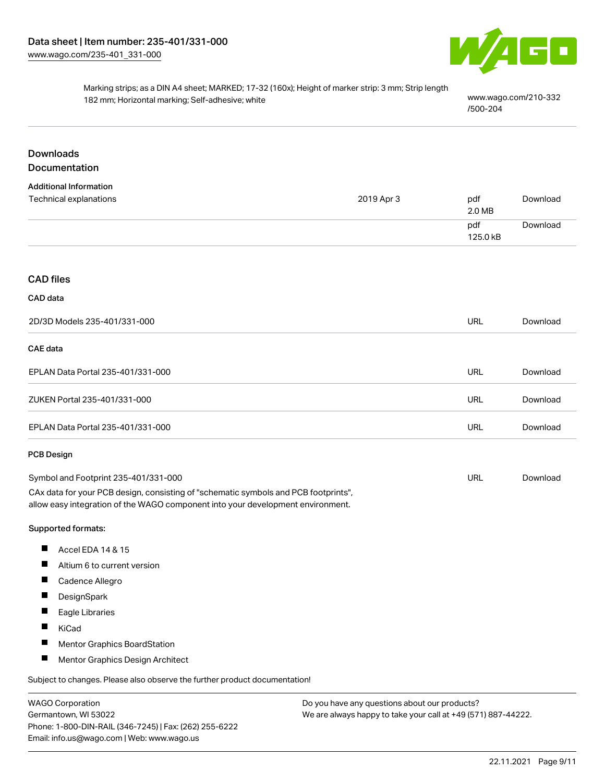

## Marking strips; as a DIN A4 sheet; MARKED; 17-32 (160x); Height of marker strip: 3 mm; Strip length 182 mm; Horizontal marking; Self-adhesive; white [www.wago.com/210-332](http://www.wago.com/210-332/500-204)

[/500-204](http://www.wago.com/210-332/500-204)

## Downloads Documentation

| <b>Additional Information</b> |            |          |          |
|-------------------------------|------------|----------|----------|
| Technical explanations        | 2019 Apr 3 | pdf      | Download |
|                               |            | 2.0 MB   |          |
|                               |            | pdf      | Download |
|                               |            | 125.0 kB |          |

## CAD files

### CAD data

| 2D/3D Models 235-401/331-000      | URL | Download |
|-----------------------------------|-----|----------|
| <b>CAE data</b>                   |     |          |
| EPLAN Data Portal 235-401/331-000 | URL | Download |
| ZUKEN Portal 235-401/331-000      | URL | Download |
| EPLAN Data Portal 235-401/331-000 | URL | Download |

#### PCB Design

| Symbol and Footprint 235-401/331-000                                                | URL | Download |
|-------------------------------------------------------------------------------------|-----|----------|
| CAx data for your PCB design, consisting of "schematic symbols and PCB footprints", |     |          |
| allow easy integration of the WAGO component into your development environment.     |     |          |

#### Supported formats:

- $\blacksquare$ Accel EDA 14 & 15
- $\blacksquare$ Altium 6 to current version
- $\blacksquare$ Cadence Allegro
- $\blacksquare$ **DesignSpark**
- П Eagle Libraries
- $\blacksquare$ KiCad
- $\blacksquare$ Mentor Graphics BoardStation
- $\blacksquare$ Mentor Graphics Design Architect

Subject to changes. Please also observe the further product documentation!

WAGO Corporation Germantown, WI 53022 Phone: 1-800-DIN-RAIL (346-7245) | Fax: (262) 255-6222 Email: info.us@wago.com | Web: www.wago.us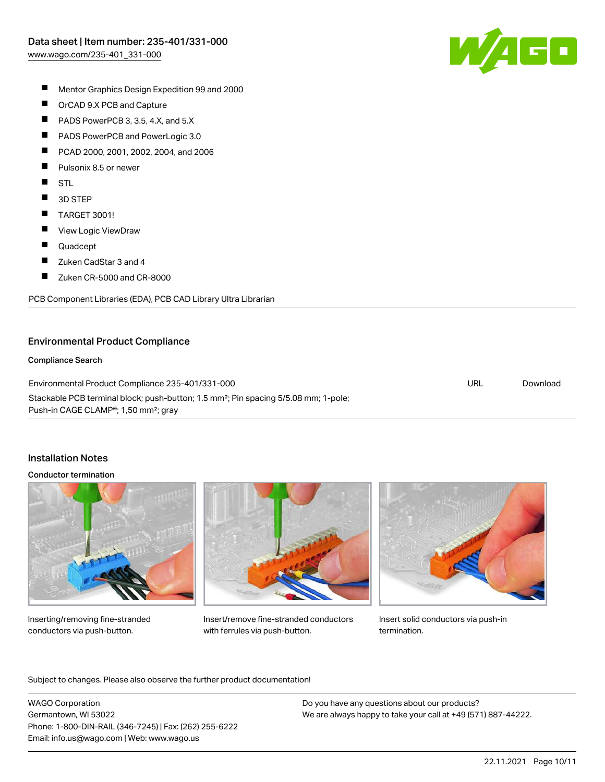

- П Mentor Graphics Design Expedition 99 and 2000
- $\blacksquare$ OrCAD 9.X PCB and Capture
- $\blacksquare$ PADS PowerPCB 3, 3.5, 4.X, and 5.X
- $\blacksquare$ PADS PowerPCB and PowerLogic 3.0
- $\blacksquare$ PCAD 2000, 2001, 2002, 2004, and 2006
- П Pulsonix 8.5 or newer
- $\blacksquare$ **STL**
- $\blacksquare$ 3D STEP
- $\blacksquare$ TARGET 3001!
- $\blacksquare$ View Logic ViewDraw
- $\blacksquare$ Quadcept
- $\blacksquare$ Zuken CadStar 3 and 4
- $\blacksquare$ Zuken CR-5000 and CR-8000

PCB Component Libraries (EDA), PCB CAD Library Ultra Librarian

## Environmental Product Compliance

#### Compliance Search

Environmental Product Compliance 235-401/331-000 Stackable PCB terminal block; push-button; 1.5 mm²; Pin spacing 5/5.08 mm; 1-pole; Push-in CAGE CLAMP®; 1,50 mm²; gray URL [Download](https://www.wago.com/global/d/ComplianceLinkMediaContainer_235-401_331-000)

### Installation Notes

#### Conductor termination



Inserting/removing fine-stranded conductors via push-button.



Insert/remove fine-stranded conductors with ferrules via push-button.



Insert solid conductors via push-in termination.

.<br>Subject to changes. Please also observe the further product documentation!

WAGO Corporation Germantown, WI 53022 Phone: 1-800-DIN-RAIL (346-7245) | Fax: (262) 255-6222 Email: info.us@wago.com | Web: www.wago.us